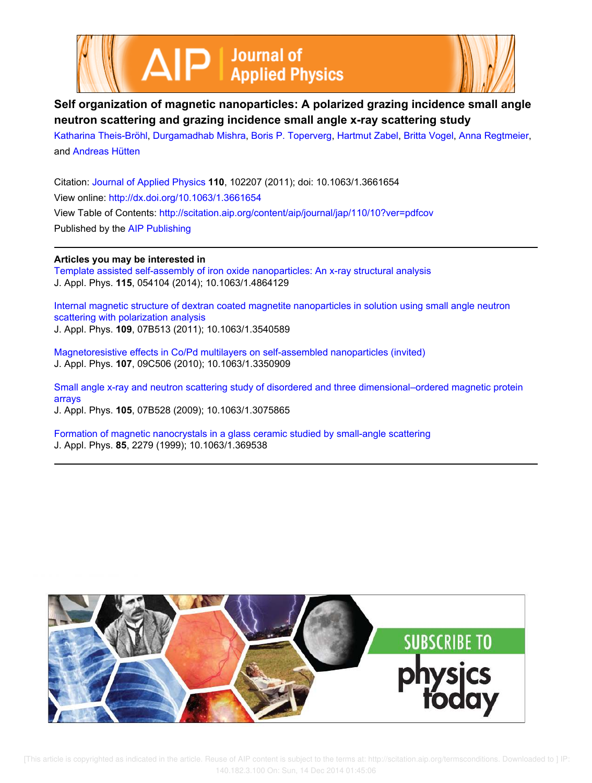



# **Self organization of magnetic nanoparticles: A polarized grazing incidence small angle neutron scattering and grazing incidence small angle x-ray scattering study**

Katharina Theis-Bröhl, Durgamadhab Mishra, Boris P. Toperverg, Hartmut Zabel, Britta Vogel, Anna Regtmeier, and Andreas Hütten

Citation: Journal of Applied Physics **110**, 102207 (2011); doi: 10.1063/1.3661654 View online: http://dx.doi.org/10.1063/1.3661654 View Table of Contents: http://scitation.aip.org/content/aip/journal/jap/110/10?ver=pdfcov Published by the AIP Publishing

# **Articles you may be interested in**

Template assisted self-assembly of iron oxide nanoparticles: An x-ray structural analysis J. Appl. Phys. **115**, 054104 (2014); 10.1063/1.4864129

Internal magnetic structure of dextran coated magnetite nanoparticles in solution using small angle neutron scattering with polarization analysis J. Appl. Phys. **109**, 07B513 (2011); 10.1063/1.3540589

Magnetoresistive effects in Co/Pd multilayers on self-assembled nanoparticles (invited) J. Appl. Phys. **107**, 09C506 (2010); 10.1063/1.3350909

Small angle x-ray and neutron scattering study of disordered and three dimensional–ordered magnetic protein arrays

J. Appl. Phys. **105**, 07B528 (2009); 10.1063/1.3075865

Formation of magnetic nanocrystals in a glass ceramic studied by small-angle scattering J. Appl. Phys. **85**, 2279 (1999); 10.1063/1.369538

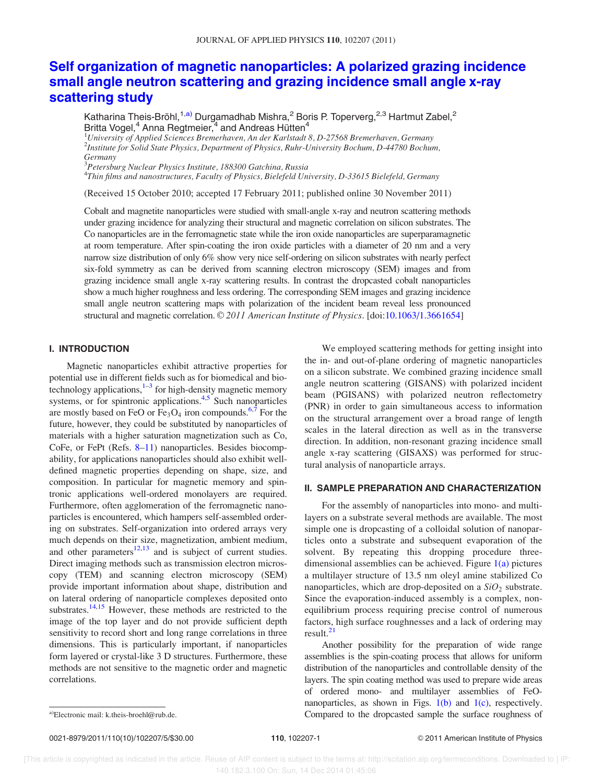# Self organization of magnetic nanoparticles: A polarized grazing incidence small angle neutron scattering and grazing incidence small angle x-ray scattering study

Katharina Theis-Bröhl,<sup>1,a)</sup> Durgamadhab Mishra,<sup>2</sup> Boris P. Toperverg,<sup>2,3</sup> Hartmut Zabel,<sup>2</sup> Britta Vogel,<sup>4</sup> Anna Regtmeier,<sup>4</sup> and Andreas Hütten<sup>4</sup>

 $1$ University of Applied Sciences Bremerhaven, An der Karlstadt 8, D-27568 Bremerhaven, Germany 2 Institute for Solid State Physics, Department of Physics, Ruhr-University Bochum, D-44780 Bochum, Germany

<sup>3</sup>Petersburg Nuclear Physics Institute, 188300 Gatchina, Russia

4 Thin films and nanostructures, Faculty of Physics, Bielefeld University, D-33615 Bielefeld, Germany

(Received 15 October 2010; accepted 17 February 2011; published online 30 November 2011)

Cobalt and magnetite nanoparticles were studied with small-angle x-ray and neutron scattering methods under grazing incidence for analyzing their structural and magnetic correlation on silicon substrates. The Co nanoparticles are in the ferromagnetic state while the iron oxide nanoparticles are superparamagnetic at room temperature. After spin-coating the iron oxide particles with a diameter of 20 nm and a very narrow size distribution of only 6% show very nice self-ordering on silicon substrates with nearly perfect six-fold symmetry as can be derived from scanning electron microscopy (SEM) images and from grazing incidence small angle x-ray scattering results. In contrast the dropcasted cobalt nanoparticles show a much higher roughness and less ordering. The corresponding SEM images and grazing incidence small angle neutron scattering maps with polarization of the incident beam reveal less pronounced structural and magnetic correlation.  $\mathbb{O}2011$  American Institute of Physics. [doi:10.1063/1.3661654]

## I. INTRODUCTION

Magnetic nanoparticles exhibit attractive properties for potential use in different fields such as for biomedical and biotechnology applications, <sup>1–3</sup> for high-density magnetic memory systems, or for spintronic applications.<sup>4,5</sup> Such nanoparticles are mostly based on FeO or  $Fe<sub>3</sub>O<sub>4</sub>$  iron compounds.<sup>6,7</sup> For the future, however, they could be substituted by nanoparticles of materials with a higher saturation magnetization such as Co, CoFe, or FePt (Refs. 8–11) nanoparticles. Besides biocompability, for applications nanoparticles should also exhibit welldefined magnetic properties depending on shape, size, and composition. In particular for magnetic memory and spintronic applications well-ordered monolayers are required. Furthermore, often agglomeration of the ferromagnetic nanoparticles is encountered, which hampers self-assembled ordering on substrates. Self-organization into ordered arrays very much depends on their size, magnetization, ambient medium, and other parameters $12,13$  and is subject of current studies. Direct imaging methods such as transmission electron microscopy (TEM) and scanning electron microscopy (SEM) provide important information about shape, distribution and on lateral ordering of nanoparticle complexes deposited onto substrates.<sup>14,15</sup> However, these methods are restricted to the image of the top layer and do not provide sufficient depth sensitivity to record short and long range correlations in three dimensions. This is particularly important, if nanoparticles form layered or crystal-like 3 D structures. Furthermore, these methods are not sensitive to the magnetic order and magnetic correlations.

We employed scattering methods for getting insight into the in- and out-of-plane ordering of magnetic nanoparticles on a silicon substrate. We combined grazing incidence small angle neutron scattering (GISANS) with polarized incident beam (PGISANS) with polarized neutron reflectometry (PNR) in order to gain simultaneous access to information on the structural arrangement over a broad range of length scales in the lateral direction as well as in the transverse direction. In addition, non-resonant grazing incidence small angle x-ray scattering (GISAXS) was performed for structural analysis of nanoparticle arrays.

## II. SAMPLE PREPARATION AND CHARACTERIZATION

For the assembly of nanoparticles into mono- and multilayers on a substrate several methods are available. The most simple one is dropcasting of a colloidal solution of nanoparticles onto a substrate and subsequent evaporation of the solvent. By repeating this dropping procedure threedimensional assemblies can be achieved. Figure  $1(a)$  pictures a multilayer structure of 13.5 nm oleyl amine stabilized Co nanoparticles, which are drop-deposited on a  $SiO<sub>2</sub>$  substrate. Since the evaporation-induced assembly is a complex, nonequilibrium process requiring precise control of numerous factors, high surface roughnesses and a lack of ordering may result.<sup>21</sup>

Another possibility for the preparation of wide range assemblies is the spin-coating process that allows for uniform distribution of the nanoparticles and controllable density of the layers. The spin coating method was used to prepare wide areas of ordered mono- and multilayer assemblies of FeOnanoparticles, as shown in Figs.  $1(b)$  and  $1(c)$ , respectively. a)Electronic mail: k.theis-broehl@rub.de. Compared to the dropcasted sample the surface roughness of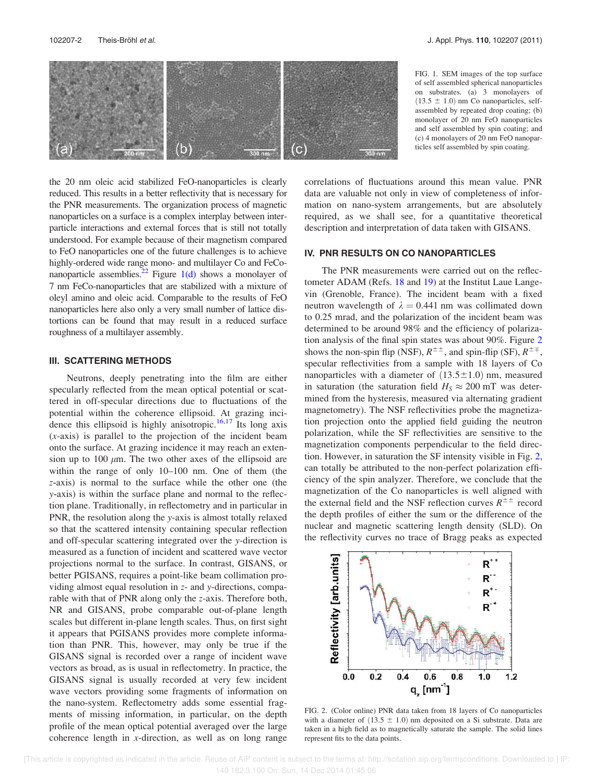

the 20 nm oleic acid stabilized FeO-nanoparticles is clearly reduced. This results in a better reflectivity that is necessary for the PNR measurements. The organization process of magnetic nanoparticles on a surface is a complex interplay between interparticle interactions and external forces that is still not totally understood. For example because of their magnetism compared to FeO nanoparticles one of the future challenges is to achieve highly-ordered wide range mono- and multilayer Co and FeConanoparticle assemblies.<sup>22</sup> Figure  $1(d)$  shows a monolayer of 7 nm FeCo-nanoparticles that are stabilized with a mixture of oleyl amino and oleic acid. Comparable to the results of FeO nanoparticles here also only a very small number of lattice distortions can be found that may result in a reduced surface roughness of a multilayer assembly.

#### III. SCATTERING METHODS

Neutrons, deeply penetrating into the film are either specularly reflected from the mean optical potential or scattered in off-specular directions due to fluctuations of the potential within the coherence ellipsoid. At grazing incidence this ellipsoid is highly anisotropic.<sup>16,17</sup> Its long axis (x-axis) is parallel to the projection of the incident beam onto the surface. At grazing incidence it may reach an extension up to 100  $\mu$ m. The two other axes of the ellipsoid are within the range of only 10–100 nm. One of them (the z-axis) is normal to the surface while the other one (the y-axis) is within the surface plane and normal to the reflection plane. Traditionally, in reflectometry and in particular in PNR, the resolution along the y-axis is almost totally relaxed so that the scattered intensity containing specular reflection and off-specular scattering integrated over the y-direction is measured as a function of incident and scattered wave vector projections normal to the surface. In contrast, GISANS, or better PGISANS, requires a point-like beam collimation providing almost equal resolution in z- and y-directions, comparable with that of PNR along only the z-axis. Therefore both, NR and GISANS, probe comparable out-of-plane length scales but different in-plane length scales. Thus, on first sight it appears that PGISANS provides more complete information than PNR. This, however, may only be true if the GISANS signal is recorded over a range of incident wave vectors as broad, as is usual in reflectometry. In practice, the GISANS signal is usually recorded at very few incident wave vectors providing some fragments of information on the nano-system. Reflectometry adds some essential fragments of missing information, in particular, on the depth profile of the mean optical potential averaged over the large coherence length in  $x$ -direction, as well as on long range FIG. 1. SEM images of the top surface of self assembled spherical nanoparticles on substrates. (a) 3 monolayers of  $(13.5 \pm 1.0)$  nm Co nanoparticles, selfassembled by repeated drop coating; (b) monolayer of 20 nm FeO nanoparticles and self assembled by spin coating; and (c) 4 monolayers of 20 nm FeO nanoparticles self assembled by spin coating.

correlations of fluctuations around this mean value. PNR data are valuable not only in view of completeness of information on nano-system arrangements, but are absolutely required, as we shall see, for a quantitative theoretical description and interpretation of data taken with GISANS.

# IV. PNR RESULTS ON CO NANOPARTICLES

The PNR measurements were carried out on the reflectometer ADAM (Refs. 18 and 19) at the Institut Laue Langevin (Grenoble, France). The incident beam with a fixed neutron wavelength of  $\lambda = 0.441$  nm was collimated down to 0.25 mrad, and the polarization of the incident beam was determined to be around 98% and the efficiency of polarization analysis of the final spin states was about 90%. Figure 2 shows the non-spin flip (NSF),  $R^{\pm\pm}$ , and spin-flip (SF),  $R^{\pm\mp}$ , specular reflectivities from a sample with 18 layers of Co nanoparticles with a diameter of  $(13.5 \pm 1.0)$  nm, measured in saturation (the saturation field  $H<sub>S</sub> \approx 200$  mT was determined from the hysteresis, measured via alternating gradient magnetometry). The NSF reflectivities probe the magnetization projection onto the applied field guiding the neutron polarization, while the SF reflectivities are sensitive to the magnetization components perpendicular to the field direction. However, in saturation the SF intensity visible in Fig. 2, can totally be attributed to the non-perfect polarization efficiency of the spin analyzer. Therefore, we conclude that the magnetization of the Co nanoparticles is well aligned with the external field and the NSF reflection curves  $R^{\pm\pm}$  record the depth profiles of either the sum or the difference of the nuclear and magnetic scattering length density (SLD). On the reflectivity curves no trace of Bragg peaks as expected



FIG. 2. (Color online) PNR data taken from 18 layers of Co nanoparticles with a diameter of  $(13.5 \pm 1.0)$  nm deposited on a Si substrate. Data are taken in a high field as to magnetically saturate the sample. The solid lines represent fits to the data points.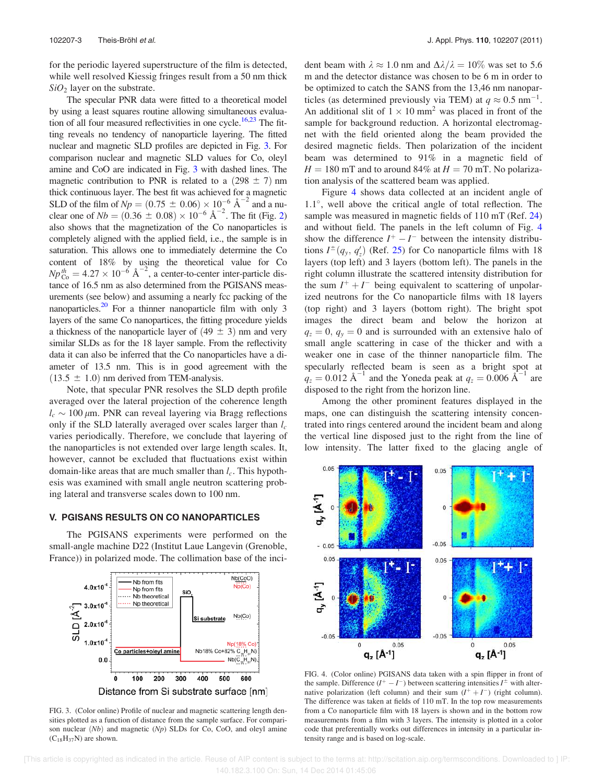for the periodic layered superstructure of the film is detected, while well resolved Kiessig fringes result from a 50 nm thick  $SiO<sub>2</sub>$  layer on the substrate.

The specular PNR data were fitted to a theoretical model by using a least squares routine allowing simultaneous evaluation of all four measured reflectivities in one cycle.<sup>16,23</sup> The fitting reveals no tendency of nanoparticle layering. The fitted nuclear and magnetic SLD profiles are depicted in Fig. 3. For comparison nuclear and magnetic SLD values for Co, oleyl amine and CoO are indicated in Fig. 3 with dashed lines. The magnetic contribution to PNR is related to a  $(298 \pm 7)$  nm thick continuous layer. The best fit was achieved for a magnetic SLD of the film of  $Np = (0.75 \pm 0.06) \times 10^{-6} \text{ Å}^{-2}$  and a nu-<br>clear one of  $Nb = (0.36 \pm 0.08) \times 10^{-6} \text{ Å}^{-2}$ . The fit (Fig. 2) also shows that the magnetization of the Co nanoparticles is completely aligned with the applied field, i.e., the sample is in saturation. This allows one to immediately determine the Co content of 18% by using the theoretical value for Co  $Np_{\text{Co}}^{th} = 4.27 \times 10^{-6} \text{ Å}^{-2}$ , a center-to-center inter-particle distance of 16.5 nm as also determined from the PGISANS measurements (see below) and assuming a nearly fcc packing of the nanoparticles.<sup>20</sup> For a thinner nanoparticle film with only 3 layers of the same Co nanopartices, the fitting procedure yields a thickness of the nanoparticle layer of  $(49 \pm 3)$  nm and very similar SLDs as for the 18 layer sample. From the reflectivity data it can also be inferred that the Co nanoparticles have a diameter of 13.5 nm. This is in good agreement with the  $(13.5 \pm 1.0)$  nm derived from TEM-analysis.

Note, that specular PNR resolves the SLD depth profile averaged over the lateral projection of the coherence length  $l_c \sim 100 \,\mu$ m. PNR can reveal layering via Bragg reflections only if the SLD laterally averaged over scales larger than  $l_c$ varies periodically. Therefore, we conclude that layering of the nanoparticles is not extended over large length scales. It, however, cannot be excluded that fluctuations exist within domain-like areas that are much smaller than  $l_c$ . This hypothesis was examined with small angle neutron scattering probing lateral and transverse scales down to 100 nm.

#### V. PGISANS RESULTS ON CO NANOPARTICLES

The PGISANS experiments were performed on the small-angle machine D22 (Institut Laue Langevin (Grenoble, France)) in polarized mode. The collimation base of the inci-



FIG. 3. (Color online) Profile of nuclear and magnetic scattering length densities plotted as a function of distance from the sample surface. For comparison nuclear  $(Nb)$  and magnetic  $(Np)$  SLDs for Co, CoO, and oleyl amine  $(C_{18}H_{37}N)$  are shown.

dent beam with  $\lambda \approx 1.0$  nm and  $\Delta \lambda / \lambda = 10\%$  was set to 5.6 m and the detector distance was chosen to be 6 m in order to be optimized to catch the SANS from the 13,46 nm nanoparticles (as determined previously via TEM) at  $q \approx 0.5$  nm<sup>-1</sup>. An additional slit of  $1 \times 10$  mm<sup>2</sup> was placed in front of the sample for background reduction. A horizontal electromagnet with the field oriented along the beam provided the desired magnetic fields. Then polarization of the incident beam was determined to 91% in a magnetic field of  $H = 180$  mT and to around 84% at  $H = 70$  mT. No polarization analysis of the scattered beam was applied.

Figure 4 shows data collected at an incident angle of 1.1°, well above the critical angle of total reflection. The sample was measured in magnetic fields of 110 mT (Ref. 24) and without field. The panels in the left column of Fig. 4 show the difference  $I^+ - I^-$  between the intensity distributions  $I^{\pm}(q_y, q_z)$  (Ref. 25) for Co nanoparticle films with 18 layers (top left) and 3 layers (bottom left). The panels in the right column illustrate the scattered intensity distribution for the sum  $I^+ + I^-$  being equivalent to scattering of unpolarized neutrons for the Co nanoparticle films with 18 layers (top right) and 3 layers (bottom right). The bright spot images the direct beam and below the horizon at  $q_z = 0$ ,  $q_y = 0$  and is surrounded with an extensive halo of small angle scattering in case of the thicker and with a weaker one in case of the thinner nanoparticle film. The specularly reflected beam is seen as a bright spot at  $q_z = 0.012$  Å<sup>-1</sup> and the Yoneda peak at  $q_z = 0.006$  Å<sup>-1</sup> are disposed to the right from the horizon line.

Among the other prominent features displayed in the maps, one can distinguish the scattering intensity concentrated into rings centered around the incident beam and along the vertical line disposed just to the right from the line of low intensity. The latter fixed to the glacing angle of



FIG. 4. (Color online) PGISANS data taken with a spin flipper in front of the sample. Difference  $(I^+ - I^-)$  between scattering intensities  $I^{\pm}$  with alternative polarization (left column) and their sum  $(I^+ + I^-)$  (right column). The difference was taken at fields of 110 mT. In the top row measurements from a Co nanoparticle film with 18 layers is shown and in the bottom row measurements from a film with 3 layers. The intensity is plotted in a color code that preferentially works out differences in intensity in a particular intensity range and is based on log-scale.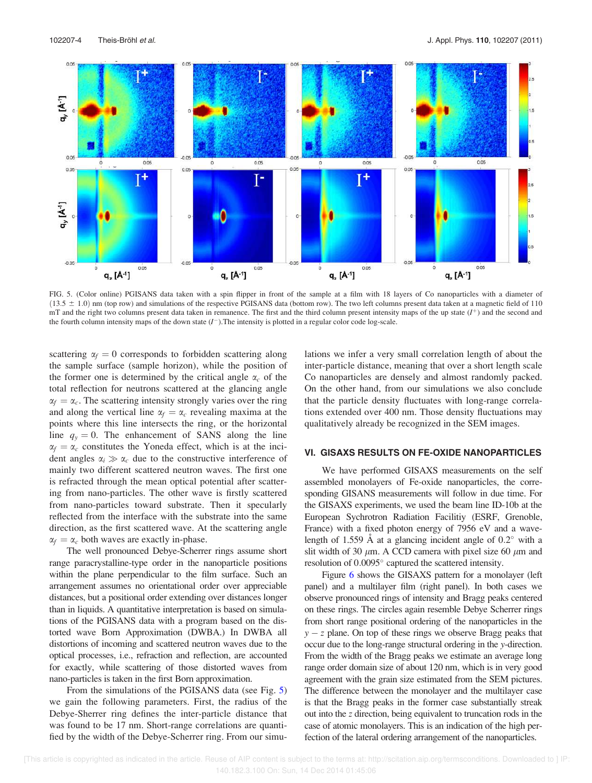

FIG. 5. (Color online) PGISANS data taken with a spin flipper in front of the sample at a film with 18 layers of Co nanoparticles with a diameter of  $(13.5 \pm 1.0)$  nm (top row) and simulations of the respective PGISANS data (bottom row). The two left columns present data taken at a magnetic field of 110  $mT$  and the right two columns present data taken in remanence. The first and the third column present intensity maps of the up state  $(I<sup>+</sup>)$  and the second and the fourth column intensity maps of the down state  $(I^-)$ . The intensity is plotted in a regular color code log-scale.

scattering  $\alpha_f = 0$  corresponds to forbidden scattering along the sample surface (sample horizon), while the position of the former one is determined by the critical angle  $\alpha_c$  of the total reflection for neutrons scattered at the glancing angle  $\alpha_f = \alpha_c$ . The scattering intensity strongly varies over the ring and along the vertical line  $\alpha_f = \alpha_c$  revealing maxima at the points where this line intersects the ring, or the horizontal line  $q_y = 0$ . The enhancement of SANS along the line  $\alpha_f = \alpha_c$  constitutes the Yoneda effect, which is at the incident angles  $\alpha_i \gg \alpha_c$  due to the constructive interference of mainly two different scattered neutron waves. The first one is refracted through the mean optical potential after scattering from nano-particles. The other wave is firstly scattered from nano-particles toward substrate. Then it specularly reflected from the interface with the substrate into the same direction, as the first scattered wave. At the scattering angle  $\alpha_f = \alpha_c$  both waves are exactly in-phase.

The well pronounced Debye-Scherrer rings assume short range paracrystalline-type order in the nanoparticle positions within the plane perpendicular to the film surface. Such an arrangement assumes no orientational order over appreciable distances, but a positional order extending over distances longer than in liquids. A quantitative interpretation is based on simulations of the PGISANS data with a program based on the distorted wave Born Approximation (DWBA.) In DWBA all distortions of incoming and scattered neutron waves due to the optical processes, i.e., refraction and reflection, are accounted for exactly, while scattering of those distorted waves from nano-particles is taken in the first Born approximation.

From the simulations of the PGISANS data (see Fig. 5) we gain the following parameters. First, the radius of the Debye-Sherrer ring defines the inter-particle distance that was found to be 17 nm. Short-range correlations are quantified by the width of the Debye-Scherrer ring. From our simulations we infer a very small correlation length of about the inter-particle distance, meaning that over a short length scale Co nanoparticles are densely and almost randomly packed. On the other hand, from our simulations we also conclude that the particle density fluctuates with long-range correlations extended over 400 nm. Those density fluctuations may qualitatively already be recognized in the SEM images.

## VI. GISAXS RESULTS ON FE-OXIDE NANOPARTICLES

We have performed GISAXS measurements on the self assembled monolayers of Fe-oxide nanoparticles, the corresponding GISANS measurements will follow in due time. For the GISAXS experiments, we used the beam line ID-10b at the European Sychrotron Radiation Facilitiy (ESRF, Grenoble, France) with a fixed photon energy of 7956 eV and a wavelength of 1.559 Å at a glancing incident angle of  $0.2^{\circ}$  with a slit width of 30  $\mu$ m. A CCD camera with pixel size 60  $\mu$ m and resolution of 0.0095° captured the scattered intensity.

Figure 6 shows the GISAXS pattern for a monolayer (left panel) and a multilayer film (right panel). In both cases we observe pronounced rings of intensity and Bragg peaks centered on these rings. The circles again resemble Debye Scherrer rings from short range positional ordering of the nanoparticles in the  $y - z$  plane. On top of these rings we observe Bragg peaks that occur due to the long-range structural ordering in the y-direction. From the width of the Bragg peaks we estimate an average long range order domain size of about 120 nm, which is in very good agreement with the grain size estimated from the SEM pictures. The difference between the monolayer and the multilayer case is that the Bragg peaks in the former case substantially streak out into the z direction, being equivalent to truncation rods in the case of atomic monolayers. This is an indication of the high perfection of the lateral ordering arrangement of the nanoparticles.